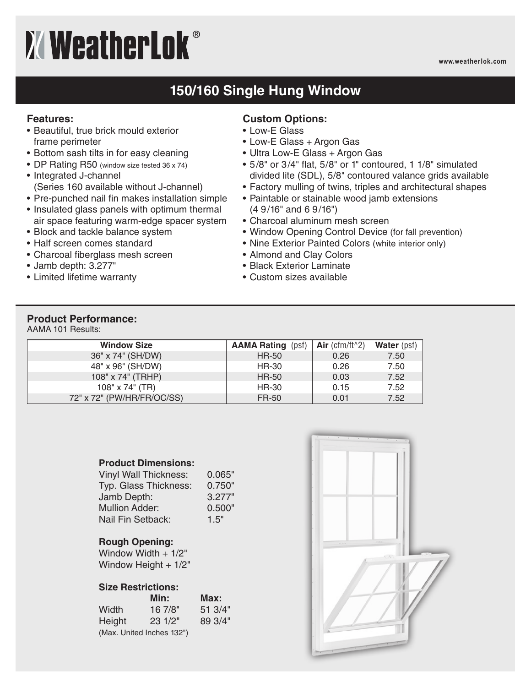# **XWeatherLok®**

#### **www.weatherlok.com**

## **150/160 Single Hung Window**

#### **Features:**

- Beautiful, true brick mould exterior frame perimeter
- Bottom sash tilts in for easy cleaning
- DP Rating R50 (window size tested 36 x 74)
- Integrated J-channel (Series 160 available without J-channel)
- Pre-punched nail fin makes installation simple
- Insulated glass panels with optimum thermal air space featuring warm-edge spacer system
- Block and tackle balance system
- Half screen comes standard
- Charcoal fiberglass mesh screen
- Jamb depth: 3.277"
- Limited lifetime warranty

#### **Custom Options:**

- Low-E Glass
- Low-E Glass + Argon Gas
- Ultra Low-E Glass + Argon Gas
- 5/8" or 3/4" flat, 5/8" or 1" contoured, 1 1/8" simulated divided lite (SDL), 5/8" contoured valance grids available
- Factory mulling of twins, triples and architectural shapes
- Paintable or stainable wood jamb extensions (4 9/16" and 6 9/16")
- Charcoal aluminum mesh screen
- Window Opening Control Device (for fall prevention)
- Nine Exterior Painted Colors (white interior only)
- Almond and Clay Colors
- Black Exterior Laminate
- Custom sizes available

### **Product Performance:**

AAMA 101 Results:

| <b>Window Size</b>         | <b>AAMA Rating (psf)</b> | Air (cfm/ft $\alpha$ 2) | <b>Water</b> (psf) |
|----------------------------|--------------------------|-------------------------|--------------------|
| 36" x 74" (SH/DW)          | <b>HR-50</b>             | 0.26                    | 7.50               |
| 48" x 96" (SH/DW)          | HR-30                    | 0.26                    | 7.50               |
| 108" x 74" (TRHP)          | <b>HR-50</b>             | 0.03                    | 7.52               |
| $108" \times 74"$ (TR)     | HR-30                    | 0.15                    | 7.52               |
| 72" x 72" (PW/HR/FR/OC/SS) | FR-50                    | 0.01                    | 7.52               |

#### **Product Dimensions:**

| <b>Vinyl Wall Thickness:</b> | 0.065" |
|------------------------------|--------|
| Typ. Glass Thickness:        | 0.750" |
| Jamb Depth:                  | 3.277" |
| <b>Mullion Adder:</b>        | 0.500" |
| Nail Fin Setback:            | 1.5"   |

#### **Rough Opening:**

Window Width + 1/2" Window Height + 1/2"

#### **Size Restrictions:**

|        | Min:                      | Max:    |
|--------|---------------------------|---------|
| Width  | 167/8"                    | 51.3/4" |
| Height | 231/2"                    | 89.3/4" |
|        | (Max. United Inches 132") |         |